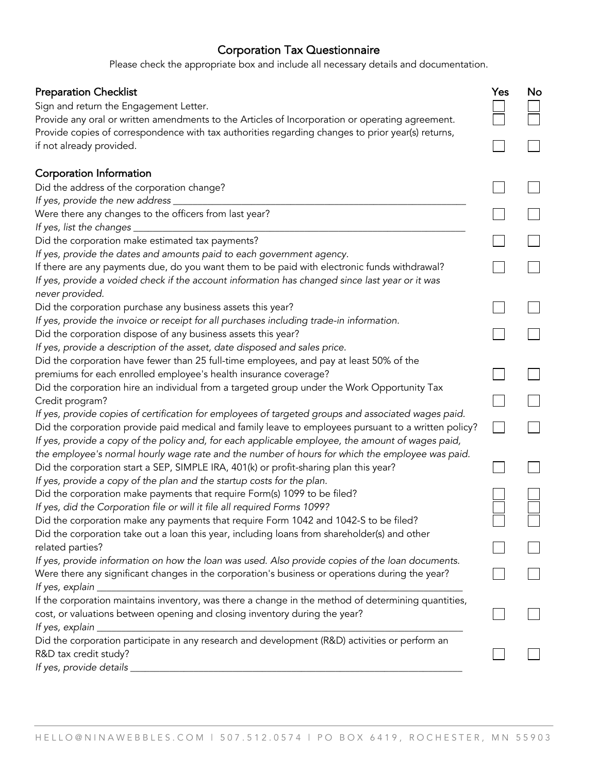## Corporation Tax Questionnaire

Please check the appropriate box and include all necessary details and documentation.

| <b>Preparation Checklist</b>                                                                                                                                                                                       | Yes | No |
|--------------------------------------------------------------------------------------------------------------------------------------------------------------------------------------------------------------------|-----|----|
| Sign and return the Engagement Letter.                                                                                                                                                                             |     |    |
| Provide any oral or written amendments to the Articles of Incorporation or operating agreement.                                                                                                                    |     |    |
| Provide copies of correspondence with tax authorities regarding changes to prior year(s) returns,                                                                                                                  |     |    |
| if not already provided.                                                                                                                                                                                           |     |    |
| Corporation Information                                                                                                                                                                                            |     |    |
| Did the address of the corporation change?                                                                                                                                                                         |     |    |
| If yes, provide the new address                                                                                                                                                                                    |     |    |
| Were there any changes to the officers from last year?<br>If yes, list the changes _                                                                                                                               |     |    |
| Did the corporation make estimated tax payments?                                                                                                                                                                   |     |    |
| If yes, provide the dates and amounts paid to each government agency.                                                                                                                                              |     |    |
| If there are any payments due, do you want them to be paid with electronic funds withdrawal?<br>If yes, provide a voided check if the account information has changed since last year or it was<br>never provided. |     |    |
| Did the corporation purchase any business assets this year?                                                                                                                                                        |     |    |
| If yes, provide the invoice or receipt for all purchases including trade-in information.                                                                                                                           |     |    |
| Did the corporation dispose of any business assets this year?                                                                                                                                                      |     |    |
| If yes, provide a description of the asset, date disposed and sales price.                                                                                                                                         |     |    |
| Did the corporation have fewer than 25 full-time employees, and pay at least 50% of the                                                                                                                            |     |    |
| premiums for each enrolled employee's health insurance coverage?                                                                                                                                                   |     |    |
| Did the corporation hire an individual from a targeted group under the Work Opportunity Tax                                                                                                                        |     |    |
| Credit program?                                                                                                                                                                                                    |     |    |
| If yes, provide copies of certification for employees of targeted groups and associated wages paid.                                                                                                                |     |    |
| Did the corporation provide paid medical and family leave to employees pursuant to a written policy?<br>If yes, provide a copy of the policy and, for each applicable employee, the amount of wages paid,          |     |    |
| the employee's normal hourly wage rate and the number of hours for which the employee was paid.                                                                                                                    |     |    |
| Did the corporation start a SEP, SIMPLE IRA, 401(k) or profit-sharing plan this year?                                                                                                                              |     |    |
| If yes, provide a copy of the plan and the startup costs for the plan.                                                                                                                                             |     |    |
| Did the corporation make payments that require Form(s) 1099 to be filed?<br>If yes, did the Corporation file or will it file all required Forms 1099?                                                              |     |    |
| Did the corporation make any payments that require Form 1042 and 1042-S to be filed?                                                                                                                               |     |    |
| Did the corporation take out a loan this year, including loans from shareholder(s) and other                                                                                                                       |     |    |
| related parties?                                                                                                                                                                                                   |     |    |
| If yes, provide information on how the loan was used. Also provide copies of the loan documents.                                                                                                                   |     |    |
| Were there any significant changes in the corporation's business or operations during the year?                                                                                                                    |     |    |
| If yes, explain _                                                                                                                                                                                                  |     |    |
| If the corporation maintains inventory, was there a change in the method of determining quantities,                                                                                                                |     |    |
| cost, or valuations between opening and closing inventory during the year?                                                                                                                                         |     |    |
| If yes, explain _                                                                                                                                                                                                  |     |    |
| Did the corporation participate in any research and development (R&D) activities or perform an                                                                                                                     |     |    |
| R&D tax credit study?<br>If yes, provide details                                                                                                                                                                   |     |    |
|                                                                                                                                                                                                                    |     |    |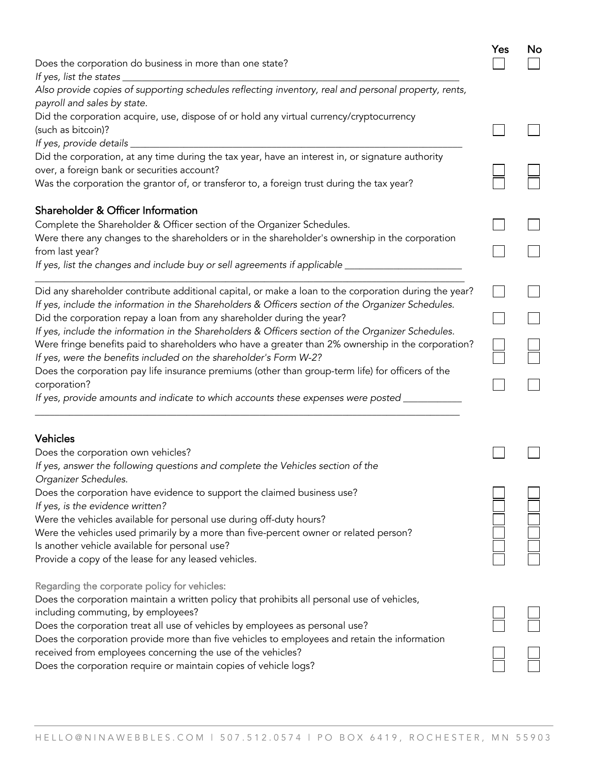| Does the corporation do business in more than one state?                                                                                                                                                                                                                                                                                                                                                                                                                                                                                                                                                                                                                                                                                                                               | Yes | No |
|----------------------------------------------------------------------------------------------------------------------------------------------------------------------------------------------------------------------------------------------------------------------------------------------------------------------------------------------------------------------------------------------------------------------------------------------------------------------------------------------------------------------------------------------------------------------------------------------------------------------------------------------------------------------------------------------------------------------------------------------------------------------------------------|-----|----|
| If yes, list the states $\_$<br>Also provide copies of supporting schedules reflecting inventory, real and personal property, rents,<br>payroll and sales by state.                                                                                                                                                                                                                                                                                                                                                                                                                                                                                                                                                                                                                    |     |    |
| Did the corporation acquire, use, dispose of or hold any virtual currency/cryptocurrency<br>(such as bitcoin)?<br>If yes, provide details _                                                                                                                                                                                                                                                                                                                                                                                                                                                                                                                                                                                                                                            |     |    |
| Did the corporation, at any time during the tax year, have an interest in, or signature authority<br>over, a foreign bank or securities account?<br>Was the corporation the grantor of, or transferor to, a foreign trust during the tax year?                                                                                                                                                                                                                                                                                                                                                                                                                                                                                                                                         |     |    |
| Shareholder & Officer Information<br>Complete the Shareholder & Officer section of the Organizer Schedules.<br>Were there any changes to the shareholders or in the shareholder's ownership in the corporation<br>from last year?<br>If yes, list the changes and include buy or sell agreements if applicable ____                                                                                                                                                                                                                                                                                                                                                                                                                                                                    |     |    |
| Did any shareholder contribute additional capital, or make a loan to the corporation during the year?<br>If yes, include the information in the Shareholders & Officers section of the Organizer Schedules.<br>Did the corporation repay a loan from any shareholder during the year?<br>If yes, include the information in the Shareholders & Officers section of the Organizer Schedules.<br>Were fringe benefits paid to shareholders who have a greater than 2% ownership in the corporation?<br>If yes, were the benefits included on the shareholder's Form W-2?<br>Does the corporation pay life insurance premiums (other than group-term life) for officers of the<br>corporation?<br>If yes, provide amounts and indicate to which accounts these expenses were posted _____ |     |    |
| <b>Vehicles</b><br>Does the corporation own vehicles?<br>If yes, answer the following questions and complete the Vehicles section of the                                                                                                                                                                                                                                                                                                                                                                                                                                                                                                                                                                                                                                               |     |    |
| Organizer Schedules.<br>Does the corporation have evidence to support the claimed business use?<br>If yes, is the evidence written?<br>Were the vehicles available for personal use during off-duty hours?<br>Were the vehicles used primarily by a more than five-percent owner or related person?<br>Is another vehicle available for personal use?<br>Provide a copy of the lease for any leased vehicles.                                                                                                                                                                                                                                                                                                                                                                          |     |    |
| Regarding the corporate policy for vehicles:<br>Does the corporation maintain a written policy that prohibits all personal use of vehicles,<br>including commuting, by employees?<br>Does the corporation treat all use of vehicles by employees as personal use?<br>Does the corporation provide more than five vehicles to employees and retain the information<br>received from employees concerning the use of the vehicles?<br>Does the corporation require or maintain copies of vehicle logs?                                                                                                                                                                                                                                                                                   |     |    |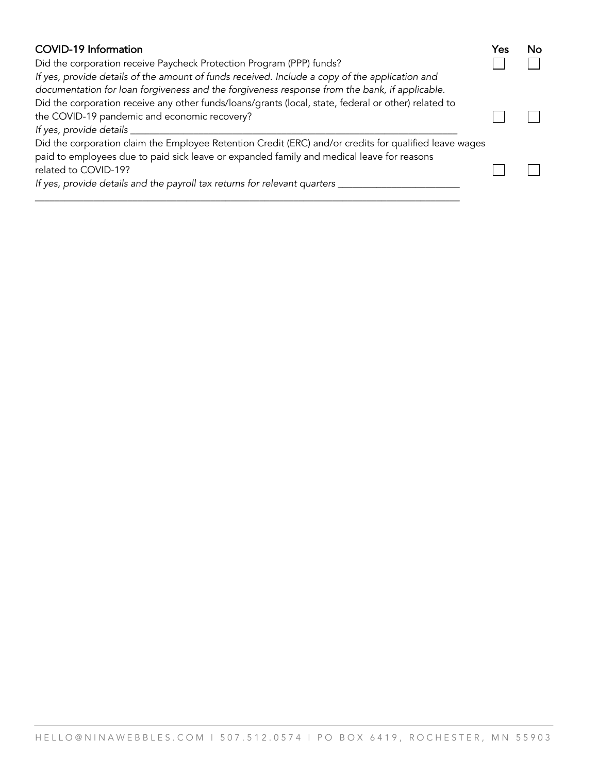| <b>COVID-19 Information</b>                                                                                                                                                                         | Yes |  |
|-----------------------------------------------------------------------------------------------------------------------------------------------------------------------------------------------------|-----|--|
| Did the corporation receive Paycheck Protection Program (PPP) funds?                                                                                                                                |     |  |
| If yes, provide details of the amount of funds received. Include a copy of the application and<br>documentation for loan forgiveness and the forgiveness response from the bank, if applicable.     |     |  |
| Did the corporation receive any other funds/loans/grants (local, state, federal or other) related to                                                                                                |     |  |
| the COVID-19 pandemic and economic recovery?                                                                                                                                                        |     |  |
| If yes, provide details                                                                                                                                                                             |     |  |
| Did the corporation claim the Employee Retention Credit (ERC) and/or credits for qualified leave wages<br>paid to employees due to paid sick leave or expanded family and medical leave for reasons |     |  |
| related to COVID-19?                                                                                                                                                                                |     |  |
| If yes, provide details and the payroll tax returns for relevant quarters                                                                                                                           |     |  |